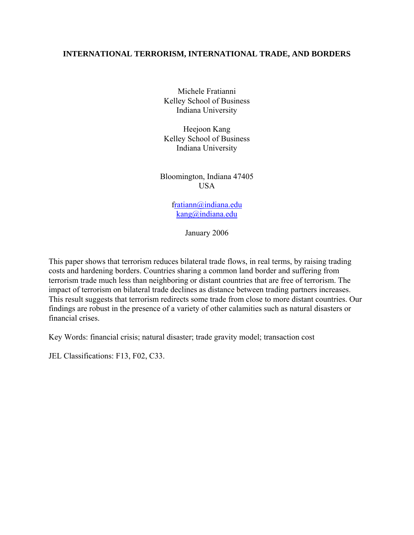# **INTERNATIONAL TERRORISM, INTERNATIONAL TRADE, AND BORDERS**

Michele Fratianni Kelley School of Business Indiana University

Heejoon Kang Kelley School of Business Indiana University

Bloomington, Indiana 47405 USA

> f[ratiann@indiana.edu](mailto:ratiann@indiana.edu) [kang@indiana.edu](mailto:kang@indiana.edu)

> > January 2006

This paper shows that terrorism reduces bilateral trade flows, in real terms, by raising trading costs and hardening borders. Countries sharing a common land border and suffering from terrorism trade much less than neighboring or distant countries that are free of terrorism. The impact of terrorism on bilateral trade declines as distance between trading partners increases. This result suggests that terrorism redirects some trade from close to more distant countries. Our findings are robust in the presence of a variety of other calamities such as natural disasters or financial crises.

Key Words: financial crisis; natural disaster; trade gravity model; transaction cost

JEL Classifications: F13, F02, C33.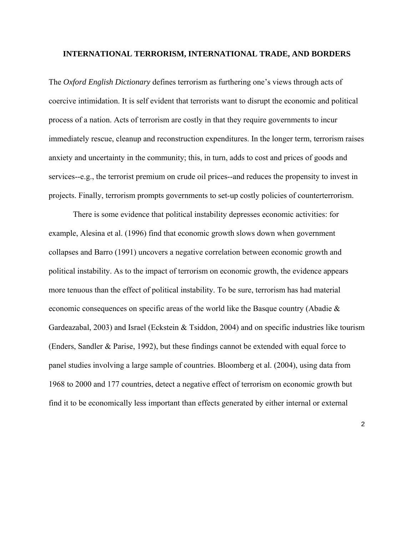#### **INTERNATIONAL TERRORISM, INTERNATIONAL TRADE, AND BORDERS**

The *Oxford English Dictionary* defines terrorism as furthering one's views through acts of coercive intimidation. It is self evident that terrorists want to disrupt the economic and political process of a nation. Acts of terrorism are costly in that they require governments to incur immediately rescue, cleanup and reconstruction expenditures. In the longer term, terrorism raises anxiety and uncertainty in the community; this, in turn, adds to cost and prices of goods and services--e.g., the terrorist premium on crude oil prices--and reduces the propensity to invest in projects. Finally, terrorism prompts governments to set-up costly policies of counterterrorism.

 There is some evidence that political instability depresses economic activities: for example, Alesina et al. (1996) find that economic growth slows down when government collapses and Barro (1991) uncovers a negative correlation between economic growth and political instability. As to the impact of terrorism on economic growth, the evidence appears more tenuous than the effect of political instability. To be sure, terrorism has had material economic consequences on specific areas of the world like the Basque country (Abadie & Gardeazabal, 2003) and Israel (Eckstein & Tsiddon, 2004) and on specific industries like tourism (Enders, Sandler & Parise, 1992), but these findings cannot be extended with equal force to panel studies involving a large sample of countries. Bloomberg et al. (2004), using data from 1968 to 2000 and 177 countries, detect a negative effect of terrorism on economic growth but find it to be economically less important than effects generated by either internal or external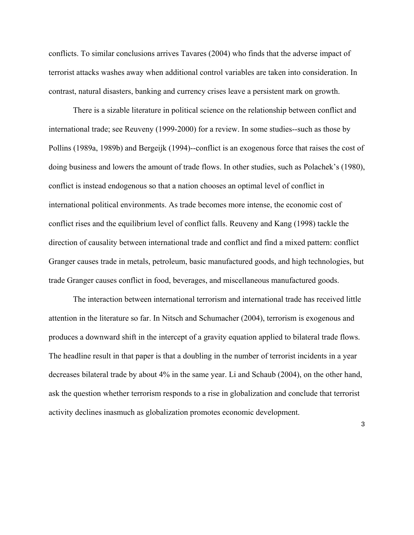conflicts. To similar conclusions arrives Tavares (2004) who finds that the adverse impact of terrorist attacks washes away when additional control variables are taken into consideration. In contrast, natural disasters, banking and currency crises leave a persistent mark on growth.

 There is a sizable literature in political science on the relationship between conflict and international trade; see Reuveny (1999-2000) for a review. In some studies--such as those by Pollins (1989a, 1989b) and Bergeijk (1994)--conflict is an exogenous force that raises the cost of doing business and lowers the amount of trade flows. In other studies, such as Polachek's (1980), conflict is instead endogenous so that a nation chooses an optimal level of conflict in international political environments. As trade becomes more intense, the economic cost of conflict rises and the equilibrium level of conflict falls. Reuveny and Kang (1998) tackle the direction of causality between international trade and conflict and find a mixed pattern: conflict Granger causes trade in metals, petroleum, basic manufactured goods, and high technologies, but trade Granger causes conflict in food, beverages, and miscellaneous manufactured goods.

 The interaction between international terrorism and international trade has received little attention in the literature so far. In Nitsch and Schumacher (2004), terrorism is exogenous and produces a downward shift in the intercept of a gravity equation applied to bilateral trade flows. The headline result in that paper is that a doubling in the number of terrorist incidents in a year decreases bilateral trade by about 4% in the same year. Li and Schaub (2004), on the other hand, ask the question whether terrorism responds to a rise in globalization and conclude that terrorist activity declines inasmuch as globalization promotes economic development.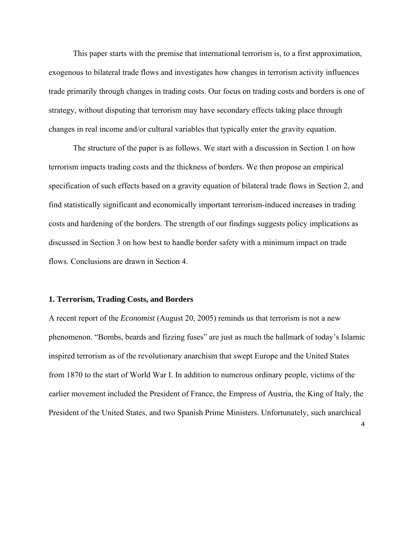This paper starts with the premise that international terrorism is, to a first approximation, exogenous to bilateral trade flows and investigates how changes in terrorism activity influences trade primarily through changes in trading costs. Our focus on trading costs and borders is one of strategy, without disputing that terrorism may have secondary effects taking place through changes in real income and/or cultural variables that typically enter the gravity equation.

 The structure of the paper is as follows. We start with a discussion in Section 1 on how terrorism impacts trading costs and the thickness of borders. We then propose an empirical specification of such effects based on a gravity equation of bilateral trade flows in Section 2, and find statistically significant and economically important terrorism-induced increases in trading costs and hardening of the borders. The strength of our findings suggests policy implications as discussed in Section 3 on how best to handle border safety with a minimum impact on trade flows. Conclusions are drawn in Section 4.

#### **1. Terrorism, Trading Costs, and Borders**

A recent report of the *Economist* (August 20, 2005) reminds us that terrorism is not a new phenomenon. "Bombs, beards and fizzing fuses" are just as much the hallmark of today's Islamic inspired terrorism as of the revolutionary anarchism that swept Europe and the United States from 1870 to the start of World War I. In addition to numerous ordinary people, victims of the earlier movement included the President of France, the Empress of Austria, the King of Italy, the President of the United States, and two Spanish Prime Ministers. Unfortunately, such anarchical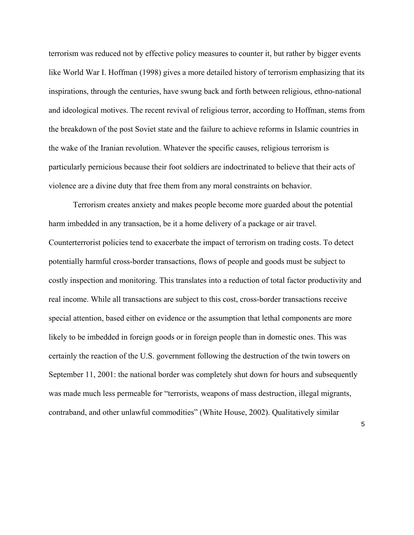terrorism was reduced not by effective policy measures to counter it, but rather by bigger events like World War I. Hoffman (1998) gives a more detailed history of terrorism emphasizing that its inspirations, through the centuries, have swung back and forth between religious, ethno-national and ideological motives. The recent revival of religious terror, according to Hoffman, stems from the breakdown of the post Soviet state and the failure to achieve reforms in Islamic countries in the wake of the Iranian revolution. Whatever the specific causes, religious terrorism is particularly pernicious because their foot soldiers are indoctrinated to believe that their acts of violence are a divine duty that free them from any moral constraints on behavior.

 Terrorism creates anxiety and makes people become more guarded about the potential harm imbedded in any transaction, be it a home delivery of a package or air travel. Counterterrorist policies tend to exacerbate the impact of terrorism on trading costs. To detect potentially harmful cross-border transactions, flows of people and goods must be subject to costly inspection and monitoring. This translates into a reduction of total factor productivity and real income. While all transactions are subject to this cost, cross-border transactions receive special attention, based either on evidence or the assumption that lethal components are more likely to be imbedded in foreign goods or in foreign people than in domestic ones. This was certainly the reaction of the U.S. government following the destruction of the twin towers on September 11, 2001: the national border was completely shut down for hours and subsequently was made much less permeable for "terrorists, weapons of mass destruction, illegal migrants, contraband, and other unlawful commodities" (White House, 2002). Qualitatively similar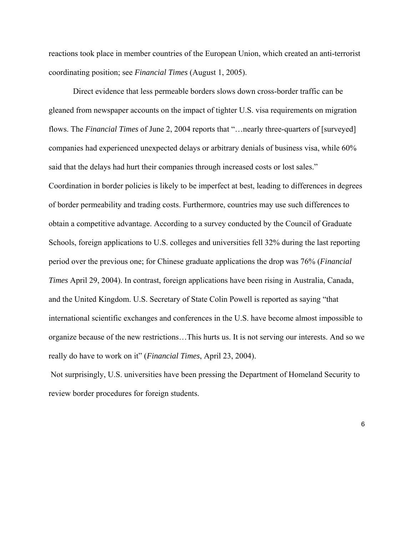reactions took place in member countries of the European Union, which created an anti-terrorist coordinating position; see *Financial Times* (August 1, 2005).

 Direct evidence that less permeable borders slows down cross-border traffic can be gleaned from newspaper accounts on the impact of tighter U.S. visa requirements on migration flows. The *Financial Times* of June 2, 2004 reports that "…nearly three-quarters of [surveyed] companies had experienced unexpected delays or arbitrary denials of business visa, while 60% said that the delays had hurt their companies through increased costs or lost sales." Coordination in border policies is likely to be imperfect at best, leading to differences in degrees of border permeability and trading costs. Furthermore, countries may use such differences to obtain a competitive advantage. According to a survey conducted by the Council of Graduate Schools, foreign applications to U.S. colleges and universities fell 32% during the last reporting period over the previous one; for Chinese graduate applications the drop was 76% (*Financial Times* April 29, 2004). In contrast, foreign applications have been rising in Australia, Canada, and the United Kingdom. U.S. Secretary of State Colin Powell is reported as saying "that international scientific exchanges and conferences in the U.S. have become almost impossible to organize because of the new restrictions…This hurts us. It is not serving our interests. And so we really do have to work on it" (*Financial Times*, April 23, 2004).

 Not surprisingly, U.S. universities have been pressing the Department of Homeland Security to review border procedures for foreign students.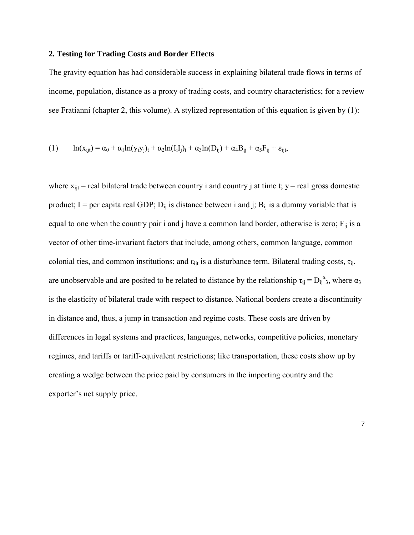### **2. Testing for Trading Costs and Border Effects**

The gravity equation has had considerable success in explaining bilateral trade flows in terms of income, population, distance as a proxy of trading costs, and country characteristics; for a review see Fratianni (chapter 2, this volume). A stylized representation of this equation is given by (1):

$$
(1) \qquad \ln(x_{ijt}) = \alpha_0 + \alpha_1 \ln(y_i y_j)_t + \alpha_2 \ln(I_i I_j)_t + \alpha_3 \ln(D_{ij}) + \alpha_4 B_{ij} + \alpha_5 F_{ij} + \varepsilon_{ijt},
$$

where  $x_{\text{lit}}$  = real bilateral trade between country i and country j at time t; y = real gross domestic product; I = per capita real GDP;  $D_{ii}$  is distance between i and j;  $B_{ii}$  is a dummy variable that is equal to one when the country pair i and j have a common land border, otherwise is zero;  $F_{ii}$  is a vector of other time-invariant factors that include, among others, common language, common colonial ties, and common institutions; and  $\varepsilon_{\text{int}}$  is a disturbance term. Bilateral trading costs,  $\tau_{\text{ii}}$ , are unobservable and are posited to be related to distance by the relationship  $\tau_{ij} = D_{ij}^{\alpha}$ , where  $\alpha_3$ is the elasticity of bilateral trade with respect to distance. National borders create a discontinuity in distance and, thus, a jump in transaction and regime costs. These costs are driven by differences in legal systems and practices, languages, networks, competitive policies, monetary regimes, and tariffs or tariff-equivalent restrictions; like transportation, these costs show up by creating a wedge between the price paid by consumers in the importing country and the exporter's net supply price.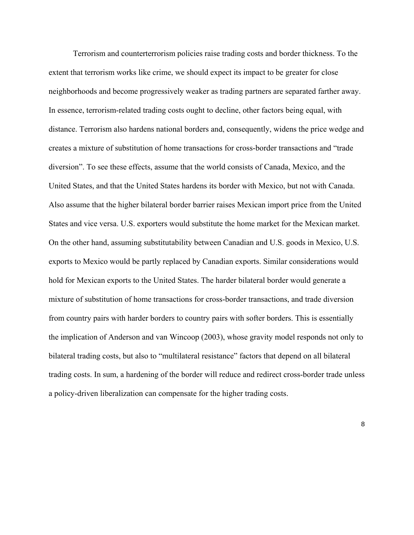Terrorism and counterterrorism policies raise trading costs and border thickness. To the extent that terrorism works like crime, we should expect its impact to be greater for close neighborhoods and become progressively weaker as trading partners are separated farther away. In essence, terrorism-related trading costs ought to decline, other factors being equal, with distance. Terrorism also hardens national borders and, consequently, widens the price wedge and creates a mixture of substitution of home transactions for cross-border transactions and "trade diversion". To see these effects, assume that the world consists of Canada, Mexico, and the United States, and that the United States hardens its border with Mexico, but not with Canada. Also assume that the higher bilateral border barrier raises Mexican import price from the United States and vice versa. U.S. exporters would substitute the home market for the Mexican market. On the other hand, assuming substitutability between Canadian and U.S. goods in Mexico, U.S. exports to Mexico would be partly replaced by Canadian exports. Similar considerations would hold for Mexican exports to the United States. The harder bilateral border would generate a mixture of substitution of home transactions for cross-border transactions, and trade diversion from country pairs with harder borders to country pairs with softer borders. This is essentially the implication of Anderson and van Wincoop (2003), whose gravity model responds not only to bilateral trading costs, but also to "multilateral resistance" factors that depend on all bilateral trading costs. In sum, a hardening of the border will reduce and redirect cross-border trade unless a policy-driven liberalization can compensate for the higher trading costs.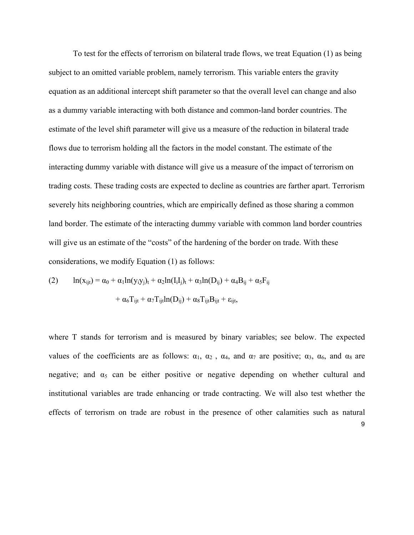To test for the effects of terrorism on bilateral trade flows, we treat Equation (1) as being subject to an omitted variable problem, namely terrorism. This variable enters the gravity equation as an additional intercept shift parameter so that the overall level can change and also as a dummy variable interacting with both distance and common-land border countries. The estimate of the level shift parameter will give us a measure of the reduction in bilateral trade flows due to terrorism holding all the factors in the model constant. The estimate of the interacting dummy variable with distance will give us a measure of the impact of terrorism on trading costs. These trading costs are expected to decline as countries are farther apart. Terrorism severely hits neighboring countries, which are empirically defined as those sharing a common land border. The estimate of the interacting dummy variable with common land border countries will give us an estimate of the "costs" of the hardening of the border on trade. With these considerations, we modify Equation (1) as follows:

(2) 
$$
\ln(x_{ijt}) = \alpha_0 + \alpha_1 \ln(y_i y_j)_t + \alpha_2 \ln(I_i I_j)_t + \alpha_3 \ln(D_{ij}) + \alpha_4 B_{ij} + \alpha_5 F_{ij} + \alpha_6 T_{ijt} + \alpha_7 T_{ijt} \ln(D_{ij}) + \alpha_8 T_{ijt} B_{ijt} + \epsilon_{ijt},
$$

9 where T stands for terrorism and is measured by binary variables; see below. The expected values of the coefficients are as follows:  $\alpha_1$ ,  $\alpha_2$ ,  $\alpha_4$ , and  $\alpha_7$  are positive;  $\alpha_3$ ,  $\alpha_6$ , and  $\alpha_8$  are negative; and  $\alpha_5$  can be either positive or negative depending on whether cultural and institutional variables are trade enhancing or trade contracting. We will also test whether the effects of terrorism on trade are robust in the presence of other calamities such as natural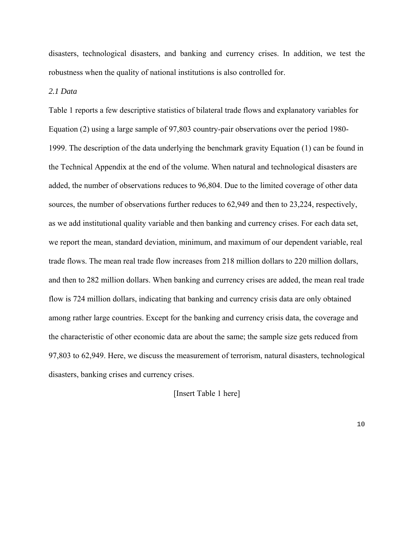disasters, technological disasters, and banking and currency crises. In addition, we test the robustness when the quality of national institutions is also controlled for.

## *2.1 Data*

Table 1 reports a few descriptive statistics of bilateral trade flows and explanatory variables for Equation (2) using a large sample of 97,803 country-pair observations over the period 1980- 1999. The description of the data underlying the benchmark gravity Equation (1) can be found in the Technical Appendix at the end of the volume. When natural and technological disasters are added, the number of observations reduces to 96,804. Due to the limited coverage of other data sources, the number of observations further reduces to 62,949 and then to 23,224, respectively, as we add institutional quality variable and then banking and currency crises. For each data set, we report the mean, standard deviation, minimum, and maximum of our dependent variable, real trade flows. The mean real trade flow increases from 218 million dollars to 220 million dollars, and then to 282 million dollars. When banking and currency crises are added, the mean real trade flow is 724 million dollars, indicating that banking and currency crisis data are only obtained among rather large countries. Except for the banking and currency crisis data, the coverage and the characteristic of other economic data are about the same; the sample size gets reduced from 97,803 to 62,949. Here, we discuss the measurement of terrorism, natural disasters, technological disasters, banking crises and currency crises.

[Insert Table 1 here]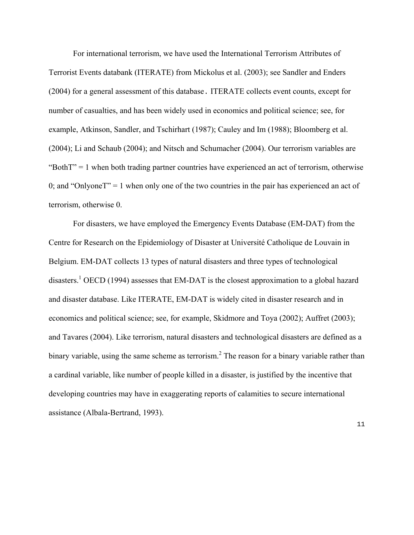For international terrorism, we have used the International Terrorism Attributes of Terrorist Events databank (ITERATE) from Mickolus et al. (2003); see Sandler and Enders (2004) for a general assessment of this database. ITERATE collects event counts, except for number of casualties, and has been widely used in economics and political science; see, for example, Atkinson, Sandler, and Tschirhart (1987); Cauley and Im (1988); Bloomberg et al. (2004); Li and Schaub (2004); and Nitsch and Schumacher (2004). Our terrorism variables are "Both $T$ " = 1 when both trading partner countries have experienced an act of terrorism, otherwise 0; and "Onlyone $T$ " = 1 when only one of the two countries in the pair has experienced an act of terrorism, otherwise 0.

 For disasters, we have employed the Emergency Events Database (EM-DAT) from the Centre for Research on the Epidemiology of Disaster at Université Catholique de Louvain in Belgium. EM-DAT collects 13 types of natural disasters and three types of technological disasters.<sup>[1](#page-32-0)</sup> OECD (1994) assesses that EM-DAT is the closest approximation to a global hazard and disaster database. Like ITERATE, EM-DAT is widely cited in disaster research and in economics and political science; see, for example, Skidmore and Toya (2002); Auffret (2003); and Tavares (2004). Like terrorism, natural disasters and technological disasters are defined as a binary variable, using the same scheme as terrorism.<sup>2</sup> [T](#page-32-1)he reason for a binary variable rather than a cardinal variable, like number of people killed in a disaster, is justified by the incentive that developing countries may have in exaggerating reports of calamities to secure international assistance (Albala-Bertrand, 1993).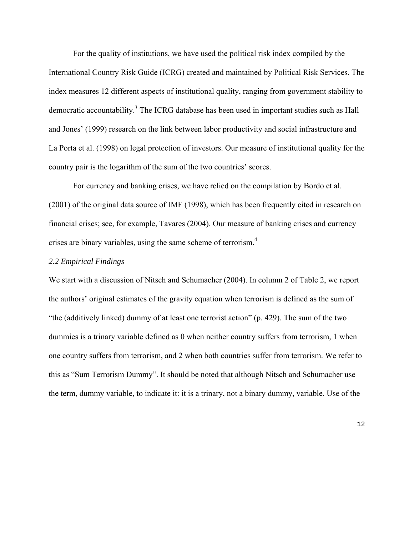For the quality of institutions, we have used the political risk index compiled by the International Country Risk Guide (ICRG) created and maintained by Political Risk Services. The index measures 12 different aspects of institutional quality, ranging from government stability to democratic accountability.<sup>[3](#page-32-2)</sup> The ICRG database has been used in important studies such as Hall and Jones' (1999) research on the link between labor productivity and social infrastructure and La Porta et al. (1998) on legal protection of investors. Our measure of institutional quality for the country pair is the logarithm of the sum of the two countries' scores.

 For currency and banking crises, we have relied on the compilation by Bordo et al. (2001) of the original data source of IMF (1998), which has been frequently cited in research on financial crises; see, for example, Tavares (2004). Our measure of banking crises and currency crises are binary variables, using the same scheme of terrorism.[4](#page-32-3)

## *2.2 Empirical Findings*

We start with a discussion of Nitsch and Schumacher (2004). In column 2 of Table 2, we report the authors' original estimates of the gravity equation when terrorism is defined as the sum of "the (additively linked) dummy of at least one terrorist action" (p. 429). The sum of the two dummies is a trinary variable defined as 0 when neither country suffers from terrorism, 1 when one country suffers from terrorism, and 2 when both countries suffer from terrorism. We refer to this as "Sum Terrorism Dummy". It should be noted that although Nitsch and Schumacher use the term, dummy variable, to indicate it: it is a trinary, not a binary dummy, variable. Use of the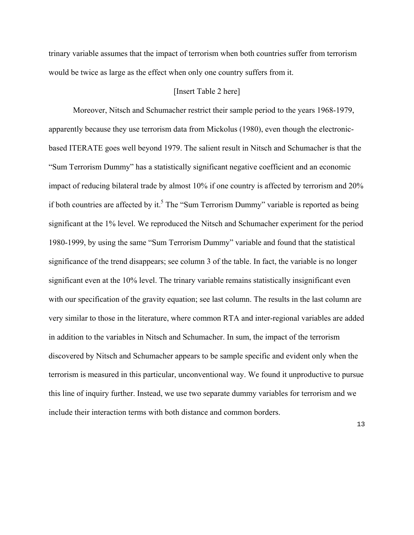trinary variable assumes that the impact of terrorism when both countries suffer from terrorism would be twice as large as the effect when only one country suffers from it.

## [Insert Table 2 here]

Moreover, Nitsch and Schumacher restrict their sample period to the years 1968-1979, apparently because they use terrorism data from Mickolus (1980), even though the electronicbased ITERATE goes well beyond 1979. The salient result in Nitsch and Schumacher is that the "Sum Terrorism Dummy" has a statistically significant negative coefficient and an economic impact of reducing bilateral trade by almost 10% if one country is affected by terrorism and 20% if both countries are affected by it.<sup>[5](#page-32-4)</sup> The "Sum Terrorism Dummy" variable is reported as being significant at the 1% level. We reproduced the Nitsch and Schumacher experiment for the period 1980-1999, by using the same "Sum Terrorism Dummy" variable and found that the statistical significance of the trend disappears; see column 3 of the table. In fact, the variable is no longer significant even at the 10% level. The trinary variable remains statistically insignificant even with our specification of the gravity equation; see last column. The results in the last column are very similar to those in the literature, where common RTA and inter-regional variables are added in addition to the variables in Nitsch and Schumacher. In sum, the impact of the terrorism discovered by Nitsch and Schumacher appears to be sample specific and evident only when the terrorism is measured in this particular, unconventional way. We found it unproductive to pursue this line of inquiry further. Instead, we use two separate dummy variables for terrorism and we include their interaction terms with both distance and common borders.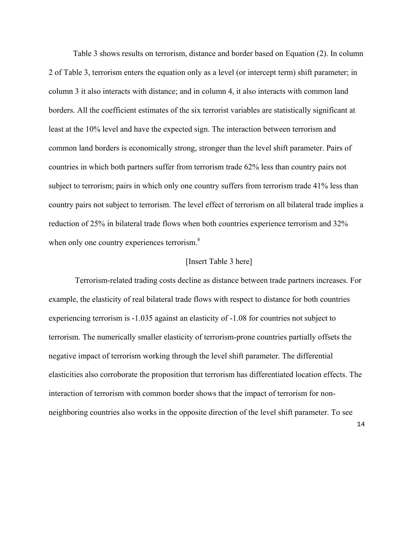Table 3 shows results on terrorism, distance and border based on Equation (2). In column 2 of Table 3, terrorism enters the equation only as a level (or intercept term) shift parameter; in column 3 it also interacts with distance; and in column 4, it also interacts with common land borders. All the coefficient estimates of the six terrorist variables are statistically significant at least at the 10% level and have the expected sign. The interaction between terrorism and common land borders is economically strong, stronger than the level shift parameter. Pairs of countries in which both partners suffer from terrorism trade 62% less than country pairs not subject to terrorism; pairs in which only one country suffers from terrorism trade 41% less than country pairs not subject to terrorism. The level effect of terrorism on all bilateral trade implies a reduction of 25% in bilateral trade flows when both countries experience terrorism and 32% when only one country experiences terrorism.<sup>[6](#page-32-5)</sup>

### [Insert Table 3 here]

 Terrorism-related trading costs decline as distance between trade partners increases. For example, the elasticity of real bilateral trade flows with respect to distance for both countries experiencing terrorism is -1.035 against an elasticity of -1.08 for countries not subject to terrorism. The numerically smaller elasticity of terrorism-prone countries partially offsets the negative impact of terrorism working through the level shift parameter. The differential elasticities also corroborate the proposition that terrorism has differentiated location effects. The interaction of terrorism with common border shows that the impact of terrorism for nonneighboring countries also works in the opposite direction of the level shift parameter. To see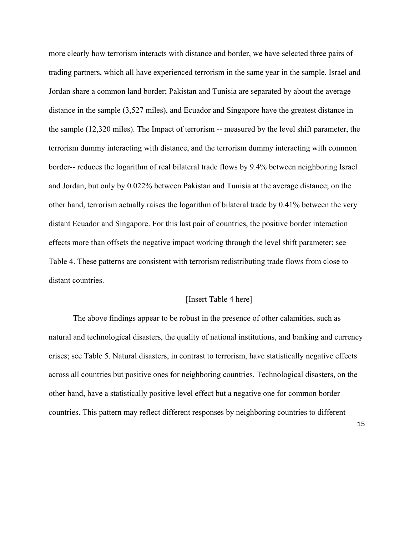more clearly how terrorism interacts with distance and border, we have selected three pairs of trading partners, which all have experienced terrorism in the same year in the sample. Israel and Jordan share a common land border; Pakistan and Tunisia are separated by about the average distance in the sample (3,527 miles), and Ecuador and Singapore have the greatest distance in the sample (12,320 miles). The Impact of terrorism -- measured by the level shift parameter, the terrorism dummy interacting with distance, and the terrorism dummy interacting with common border-- reduces the logarithm of real bilateral trade flows by 9.4% between neighboring Israel and Jordan, but only by 0.022% between Pakistan and Tunisia at the average distance; on the other hand, terrorism actually raises the logarithm of bilateral trade by 0.41% between the very distant Ecuador and Singapore. For this last pair of countries, the positive border interaction effects more than offsets the negative impact working through the level shift parameter; see Table 4. These patterns are consistent with terrorism redistributing trade flows from close to distant countries.

## [Insert Table 4 here]

The above findings appear to be robust in the presence of other calamities, such as natural and technological disasters, the quality of national institutions, and banking and currency crises; see Table 5. Natural disasters, in contrast to terrorism, have statistically negative effects across all countries but positive ones for neighboring countries. Technological disasters, on the other hand, have a statistically positive level effect but a negative one for common border countries. This pattern may reflect different responses by neighboring countries to different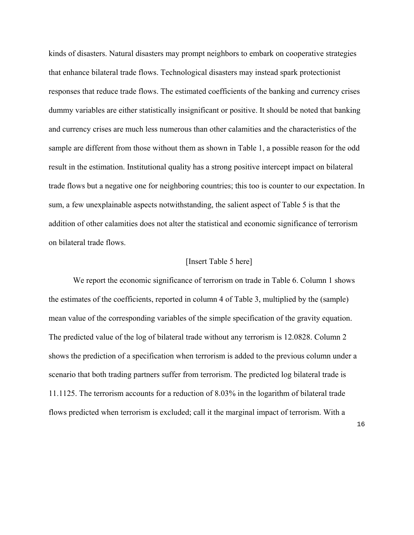kinds of disasters. Natural disasters may prompt neighbors to embark on cooperative strategies that enhance bilateral trade flows. Technological disasters may instead spark protectionist responses that reduce trade flows. The estimated coefficients of the banking and currency crises dummy variables are either statistically insignificant or positive. It should be noted that banking and currency crises are much less numerous than other calamities and the characteristics of the sample are different from those without them as shown in Table 1, a possible reason for the odd result in the estimation. Institutional quality has a strong positive intercept impact on bilateral trade flows but a negative one for neighboring countries; this too is counter to our expectation. In sum, a few unexplainable aspects notwithstanding, the salient aspect of Table 5 is that the addition of other calamities does not alter the statistical and economic significance of terrorism on bilateral trade flows.

## [Insert Table 5 here]

We report the economic significance of terrorism on trade in Table 6. Column 1 shows the estimates of the coefficients, reported in column 4 of Table 3, multiplied by the (sample) mean value of the corresponding variables of the simple specification of the gravity equation. The predicted value of the log of bilateral trade without any terrorism is 12.0828. Column 2 shows the prediction of a specification when terrorism is added to the previous column under a scenario that both trading partners suffer from terrorism. The predicted log bilateral trade is 11.1125. The terrorism accounts for a reduction of 8.03% in the logarithm of bilateral trade flows predicted when terrorism is excluded; call it the marginal impact of terrorism. With a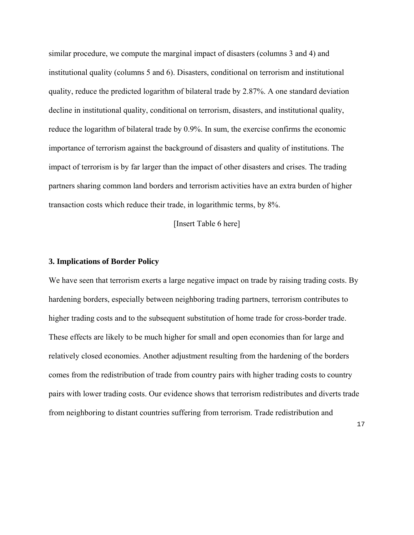similar procedure, we compute the marginal impact of disasters (columns 3 and 4) and institutional quality (columns 5 and 6). Disasters, conditional on terrorism and institutional quality, reduce the predicted logarithm of bilateral trade by 2.87%. A one standard deviation decline in institutional quality, conditional on terrorism, disasters, and institutional quality, reduce the logarithm of bilateral trade by 0.9%. In sum, the exercise confirms the economic importance of terrorism against the background of disasters and quality of institutions. The impact of terrorism is by far larger than the impact of other disasters and crises. The trading partners sharing common land borders and terrorism activities have an extra burden of higher transaction costs which reduce their trade, in logarithmic terms, by 8%.

[Insert Table 6 here]

#### **3. Implications of Border Policy**

We have seen that terrorism exerts a large negative impact on trade by raising trading costs. By hardening borders, especially between neighboring trading partners, terrorism contributes to higher trading costs and to the subsequent substitution of home trade for cross-border trade. These effects are likely to be much higher for small and open economies than for large and relatively closed economies. Another adjustment resulting from the hardening of the borders comes from the redistribution of trade from country pairs with higher trading costs to country pairs with lower trading costs. Our evidence shows that terrorism redistributes and diverts trade from neighboring to distant countries suffering from terrorism. Trade redistribution and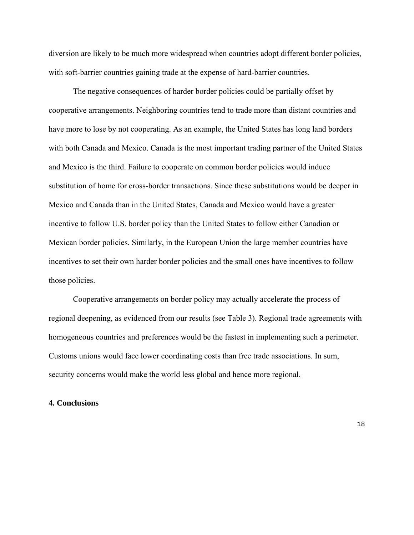diversion are likely to be much more widespread when countries adopt different border policies, with soft-barrier countries gaining trade at the expense of hard-barrier countries.

 The negative consequences of harder border policies could be partially offset by cooperative arrangements. Neighboring countries tend to trade more than distant countries and have more to lose by not cooperating. As an example, the United States has long land borders with both Canada and Mexico. Canada is the most important trading partner of the United States and Mexico is the third. Failure to cooperate on common border policies would induce substitution of home for cross-border transactions. Since these substitutions would be deeper in Mexico and Canada than in the United States, Canada and Mexico would have a greater incentive to follow U.S. border policy than the United States to follow either Canadian or Mexican border policies. Similarly, in the European Union the large member countries have incentives to set their own harder border policies and the small ones have incentives to follow those policies.

 Cooperative arrangements on border policy may actually accelerate the process of regional deepening, as evidenced from our results (see Table 3). Regional trade agreements with homogeneous countries and preferences would be the fastest in implementing such a perimeter. Customs unions would face lower coordinating costs than free trade associations. In sum, security concerns would make the world less global and hence more regional.

### **4. Conclusions**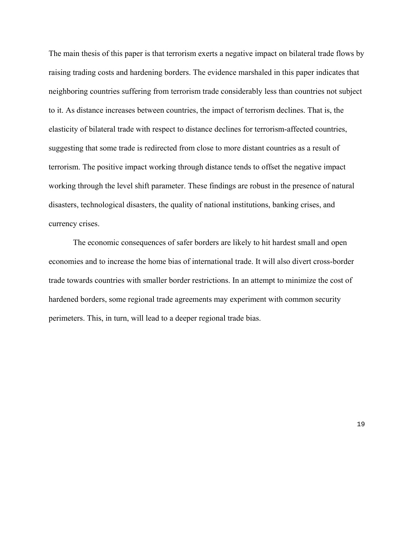The main thesis of this paper is that terrorism exerts a negative impact on bilateral trade flows by raising trading costs and hardening borders. The evidence marshaled in this paper indicates that neighboring countries suffering from terrorism trade considerably less than countries not subject to it. As distance increases between countries, the impact of terrorism declines. That is, the elasticity of bilateral trade with respect to distance declines for terrorism-affected countries, suggesting that some trade is redirected from close to more distant countries as a result of terrorism. The positive impact working through distance tends to offset the negative impact working through the level shift parameter. These findings are robust in the presence of natural disasters, technological disasters, the quality of national institutions, banking crises, and currency crises.

The economic consequences of safer borders are likely to hit hardest small and open economies and to increase the home bias of international trade. It will also divert cross-border trade towards countries with smaller border restrictions. In an attempt to minimize the cost of hardened borders, some regional trade agreements may experiment with common security perimeters. This, in turn, will lead to a deeper regional trade bias.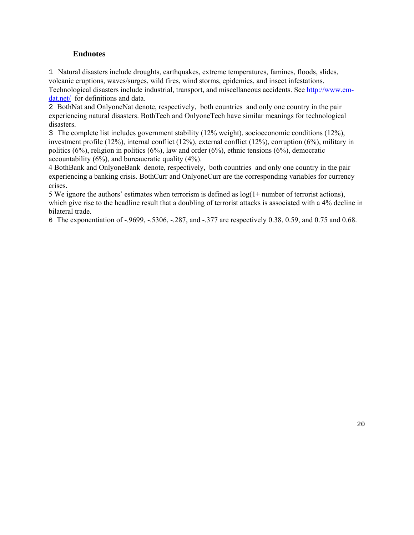## **Endnotes**

1 Natural disasters include droughts, earthquakes, extreme temperatures, famines, floods, slides, volcanic eruptions, waves/surges, wild fires, wind storms, epidemics, and insect infestations. Technological disasters include industrial, transport, and miscellaneous accidents. See [http://www.em](http://www.em-dat.net/)[dat.net/](http://www.em-dat.net/) for definitions and data.

2 BothNat and OnlyoneNat denote, respectively, both countries and only one country in the pair experiencing natural disasters. BothTech and OnlyoneTech have similar meanings for technological disasters.

3 The complete list includes government stability (12% weight), socioeconomic conditions (12%), investment profile (12%), internal conflict (12%), external conflict (12%), corruption (6%), military in politics (6%), religion in politics (6%), law and order (6%), ethnic tensions (6%), democratic accountability  $(6\%)$ , and bureaucratic quality  $(4\%)$ .

4 BothBank and OnlyoneBank denote, respectively, both countries and only one country in the pair experiencing a banking crisis. BothCurr and OnlyoneCurr are the corresponding variables for currency crises.

5 We ignore the authors' estimates when terrorism is defined as  $log(1+$  number of terrorist actions), which give rise to the headline result that a doubling of terrorist attacks is associated with a 4% decline in bilateral trade.

6 The exponentiation of -.9699, -.5306, -.287, and -.377 are respectively 0.38, 0.59, and 0.75 and 0.68.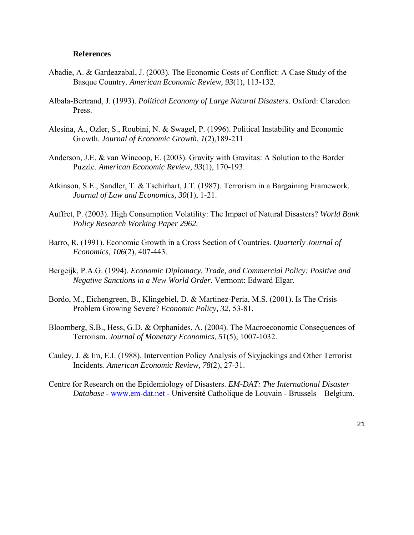### **References**

- Abadie, A. & Gardeazabal, J. (2003). The Economic Costs of Conflict: A Case Study of the Basque Country. *American Economic Review, 93*(1), 113-132.
- Albala-Bertrand, J. (1993). *Political Economy of Large Natural Disasters*. Oxford: Claredon Press.
- Alesina, A., Ozler, S., Roubini, N. & Swagel, P. (1996). Political Instability and Economic Growth. *Journal of Economic Growth, 1*(2),189-211
- Anderson, J.E. & van Wincoop, E. (2003). Gravity with Gravitas: A Solution to the Border Puzzle. *American Economic Review, 93*(1), 170-193.
- Atkinson, S.E., Sandler, T. & Tschirhart, J.T. (1987). Terrorism in a Bargaining Framework. *Journal of Law and Economics, 30*(1), 1-21.
- Auffret, P. (2003). High Consumption Volatility: The Impact of Natural Disasters? *World Bank Policy Research Working Paper 2962.*
- Barro, R. (1991). Economic Growth in a Cross Section of Countries. *Quarterly Journal of Economics, 106*(2), 407-443.
- Bergeijk, P.A.G. (1994). *Economic Diplomacy, Trade, and Commercial Policy: Positive and Negative Sanctions in a New World Order.* Vermont: Edward Elgar.
- Bordo, M., Eichengreen, B., Klingebiel, D. & Martinez-Peria, M.S. (2001). Is The Crisis Problem Growing Severe? *Economic Policy, 32*, 53-81.
- Bloomberg, S.B., Hess, G.D. & Orphanides, A. (2004). The Macroeconomic Consequences of Terrorism. *Journal of Monetary Economics*, *51*(5), 1007-1032.
- Cauley, J. & Im, E.I. (1988). Intervention Policy Analysis of Skyjackings and Other Terrorist Incidents. *American Economic Review, 78*(2), 27-31.
- Centre for Research on the Epidemiology of Disasters. *EM-DAT: The International Disaster Database* - [www.em-dat.net](http://www.em-dat.net/) - Université Catholique de Louvain - Brussels – Belgium.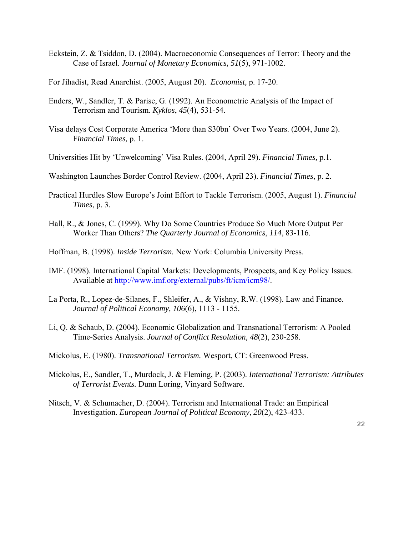- Eckstein, Z. & Tsiddon, D. (2004). Macroeconomic Consequences of Terror: Theory and the Case of Israel. *Journal of Monetary Economics, 51*(5), 971-1002.
- For Jihadist, Read Anarchist. (2005, August 20). *Economist,* p. 17-20.
- Enders, W., Sandler, T. & Parise, G. (1992). An Econometric Analysis of the Impact of Terrorism and Tourism. *Kyklos*, *45*(4), 531-54.
- Visa delays Cost Corporate America 'More than \$30bn' Over Two Years. (2004, June 2). F*inancial Times,* p. 1.
- Universities Hit by 'Unwelcoming' Visa Rules. (2004, April 29). *Financial Times,* p.1.
- Washington Launches Border Control Review. (2004, April 23). *Financial Times*, p. 2.
- Practical Hurdles Slow Europe's Joint Effort to Tackle Terrorism. (2005, August 1). *Financial Times*, p. 3.
- Hall, R., & Jones, C. (1999). Why Do Some Countries Produce So Much More Output Per Worker Than Others? *The Quarterly Journal of Economics*, *114*, 83-116.
- Hoffman, B. (1998). *Inside Terrorism.* New York: Columbia University Press.
- IMF. (1998). International Capital Markets: Developments, Prospects, and Key Policy Issues. Available at [http://www.imf.org/external/pubs/ft/icm/icm98/.](http://www.imf.org/external/pubs/ft/icm/icm98/)
- La Porta, R., Lopez-de-Silanes, F., Shleifer, A., & Vishny, R.W. (1998). Law and Finance. *Journal of Political Economy, 106*(6), 1113 - 1155.
- Li, Q. & Schaub, D. (2004). Economic Globalization and Transnational Terrorism: A Pooled Time-Series Analysis. *Journal of Conflict Resolution, 48*(2), 230-258.
- Mickolus, E. (1980). *Transnational Terrorism.* Wesport, CT: Greenwood Press.
- Mickolus, E., Sandler, T., Murdock, J. & Fleming, P. (2003). *International Terrorism: Attributes of Terrorist Events.* Dunn Loring, Vinyard Software.
- Nitsch, V. & Schumacher, D. (2004). Terrorism and International Trade: an Empirical Investigation. *European Journal of Political Economy*, *20*(2), 423-433.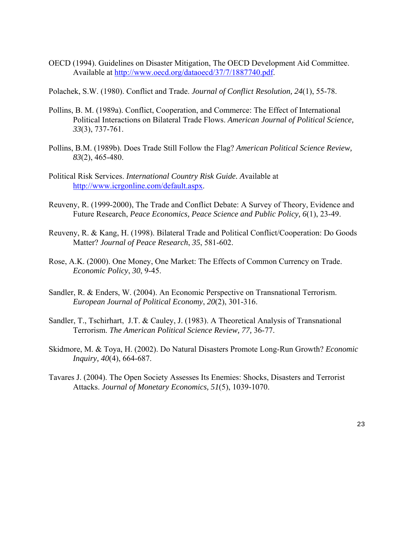- OECD (1994). Guidelines on Disaster Mitigation, The OECD Development Aid Committee. Available at [http://www.oecd.org/dataoecd/37/7/1887740.pdf.](http://www.oecd.org/dataoecd/37/7/1887740.pdf)
- Polachek, S.W. (1980). Conflict and Trade. *Journal of Conflict Resolution, 24*(1), 55-78.
- Pollins, B. M. (1989a). Conflict, Cooperation, and Commerce: The Effect of International Political Interactions on Bilateral Trade Flows. *American Journal of Political Science, 33*(3), 737-761.
- Pollins, B.M. (1989b). Does Trade Still Follow the Flag? *American Political Science Review, 83*(2), 465-480.
- Political Risk Services. *International Country Risk Guide. A*vailable at [http://www.icrgonline.com/default.aspx.](http://www.icrgonline.com/default.aspx)
- Reuveny, R. (1999-2000), The Trade and Conflict Debate: A Survey of Theory, Evidence and Future Research, *Peace Economics, Peace Science and Public Policy, 6*(1), 23-49.
- Reuveny, R. & Kang, H. (1998). Bilateral Trade and Political Conflict/Cooperation: Do Goods Matter? *Journal of Peace Research*, *35*, 581-602.
- Rose, A.K. (2000). One Money, One Market: The Effects of Common Currency on Trade. *Economic Policy*, *30*, 9-45.
- Sandler, R. & Enders, W. (2004). An Economic Perspective on Transnational Terrorism. *European Journal of Political Economy*, *20*(2), 301-316.
- Sandler, T., Tschirhart, J.T. & Cauley, J. (1983). A Theoretical Analysis of Transnational Terrorism. *The American Political Science Review, 77,* 36-77.
- Skidmore, M. & Toya, H. (2002). Do Natural Disasters Promote Long-Run Growth? *Economic Inquiry, 40*(4), 664-687.
- Tavares J. (2004). The Open Society Assesses Its Enemies: Shocks, Disasters and Terrorist Attacks. *Journal of Monetary Economics, 51*(5), 1039-1070.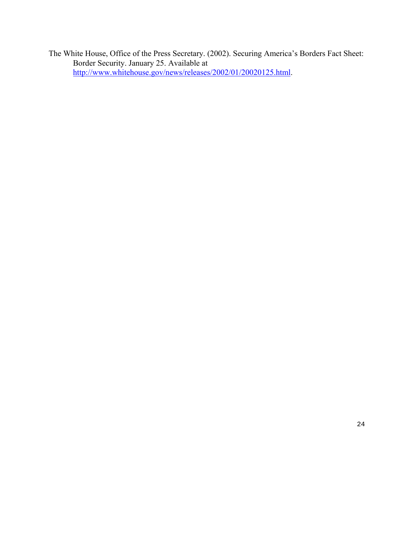The White House, Office of the Press Secretary. (2002). Securing America's Borders Fact Sheet: Border Security. January 25. Available at [http://www.whitehouse.gov/news/releases/2002/01/20020125.html.](http://www.whitehouse.gov/news/releases/2002/01/20020125.html)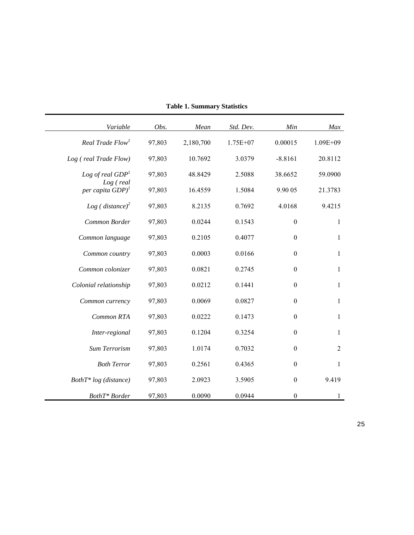| Variable                                     | Obs.   | Mean      | Std. Dev.  | Min              | Max            |
|----------------------------------------------|--------|-----------|------------|------------------|----------------|
| Real Trade Flow <sup>1</sup>                 | 97,803 | 2,180,700 | $1.75E+07$ | 0.00015          | $1.09E + 09$   |
| Log (real Trade Flow)                        | 97,803 | 10.7692   | 3.0379     | $-8.8161$        | 20.8112        |
| Log of real $GDP1$                           | 97,803 | 48.8429   | 2.5088     | 38.6652          | 59.0900        |
| $Log$ (real<br>per capita $GDP$ <sup>1</sup> | 97,803 | 16.4559   | 1.5084     | 9.90 05          | 21.3783        |
| Log (distance) <sup>2</sup>                  | 97,803 | 8.2135    | 0.7692     | 4.0168           | 9.4215         |
| Common Border                                | 97,803 | 0.0244    | 0.1543     | $\boldsymbol{0}$ | $\mathbf{1}$   |
| Common language                              | 97,803 | 0.2105    | 0.4077     | $\boldsymbol{0}$ | $\mathbf{1}$   |
| Common country                               | 97,803 | 0.0003    | 0.0166     | $\boldsymbol{0}$ | $\mathbf{1}$   |
| Common colonizer                             | 97,803 | 0.0821    | 0.2745     | $\boldsymbol{0}$ | $\mathbf{1}$   |
| Colonial relationship                        | 97,803 | 0.0212    | 0.1441     | $\mathbf{0}$     | $\mathbf{1}$   |
| Common currency                              | 97,803 | 0.0069    | 0.0827     | $\boldsymbol{0}$ | $\mathbf{1}$   |
| Common RTA                                   | 97,803 | 0.0222    | 0.1473     | $\mathbf{0}$     | $\mathbf{1}$   |
| Inter-regional                               | 97,803 | 0.1204    | 0.3254     | $\boldsymbol{0}$ | $\mathbf{1}$   |
| Sum Terrorism                                | 97,803 | 1.0174    | 0.7032     | $\boldsymbol{0}$ | $\overline{2}$ |
| <b>Both Terror</b>                           | 97,803 | 0.2561    | 0.4365     | $\mathbf{0}$     | 1              |
| $Both T^* log (distance)$                    | 97,803 | 2.0923    | 3.5905     | $\boldsymbol{0}$ | 9.419          |
| BothT* Border                                | 97,803 | 0.0090    | 0.0944     | $\boldsymbol{0}$ | $\mathbf{1}$   |

**Table 1. Summary Statistics**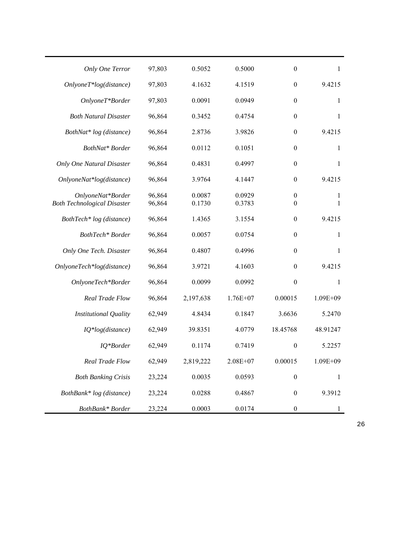| Only One Terror                                         | 97,803           | 0.5052           | 0.5000           | $\boldsymbol{0}$                     | 1                 |
|---------------------------------------------------------|------------------|------------------|------------------|--------------------------------------|-------------------|
| $Only one T * log(distance)$                            | 97,803           | 4.1632           | 4.1519           | $\boldsymbol{0}$                     | 9.4215            |
| OnlyoneT*Border                                         | 97,803           | 0.0091           | 0.0949           | $\boldsymbol{0}$                     | $\mathbf{1}$      |
| <b>Both Natural Disaster</b>                            | 96,864           | 0.3452           | 0.4754           | $\boldsymbol{0}$                     | $\mathbf{1}$      |
| BothNat* log (distance)                                 | 96,864           | 2.8736           | 3.9826           | $\boldsymbol{0}$                     | 9.4215            |
| BothNat* Border                                         | 96,864           | 0.0112           | 0.1051           | $\boldsymbol{0}$                     | $\mathbf{1}$      |
| <b>Only One Natural Disaster</b>                        | 96,864           | 0.4831           | 0.4997           | $\boldsymbol{0}$                     | 1                 |
| OnlyoneNat*log(distance)                                | 96,864           | 3.9764           | 4.1447           | $\boldsymbol{0}$                     | 9.4215            |
| OnlyoneNat*Border<br><b>Both Technological Disaster</b> | 96,864<br>96,864 | 0.0087<br>0.1730 | 0.0929<br>0.3783 | $\boldsymbol{0}$<br>$\boldsymbol{0}$ | 1<br>$\mathbf{1}$ |
|                                                         |                  |                  |                  |                                      |                   |
| BothTech* log (distance)                                | 96,864           | 1.4365           | 3.1554           | $\boldsymbol{0}$                     | 9.4215            |
| BothTech* Border                                        | 96,864           | 0.0057           | 0.0754           | $\boldsymbol{0}$                     | $\mathbf{1}$      |
| Only One Tech. Disaster                                 | 96,864           | 0.4807           | 0.4996           | $\boldsymbol{0}$                     | $\mathbf{1}$      |
| OnlyoneTech*log(distance)                               | 96,864           | 3.9721           | 4.1603           | $\boldsymbol{0}$                     | 9.4215            |
| OnlyoneTech*Border                                      | 96,864           | 0.0099           | 0.0992           | $\boldsymbol{0}$                     | $\mathbf{1}$      |
| Real Trade Flow                                         | 96,864           | 2,197,638        | $1.76E+07$       | 0.00015                              | $1.09E + 09$      |
| Institutional Quality                                   | 62,949           | 4.8434           | 0.1847           | 3.6636                               | 5.2470            |
| IQ*log(distance)                                        | 62,949           | 39.8351          | 4.0779           | 18.45768                             | 48.91247          |
| IQ*Border                                               | 62,949           | 0.1174           | 0.7419           | $\boldsymbol{0}$                     | 5.2257            |
| Real Trade Flow                                         | 62,949           | 2,819,222        | $2.08E + 07$     | 0.00015                              | 1.09E+09          |
| <b>Both Banking Crisis</b>                              | 23,224           | 0.0035           | 0.0593           | $\boldsymbol{0}$                     | 1                 |
| BothBank* log (distance)                                | 23,224           | 0.0288           | 0.4867           | $\boldsymbol{0}$                     | 9.3912            |
| BothBank* Border                                        | 23,224           | 0.0003           | 0.0174           | $\boldsymbol{0}$                     |                   |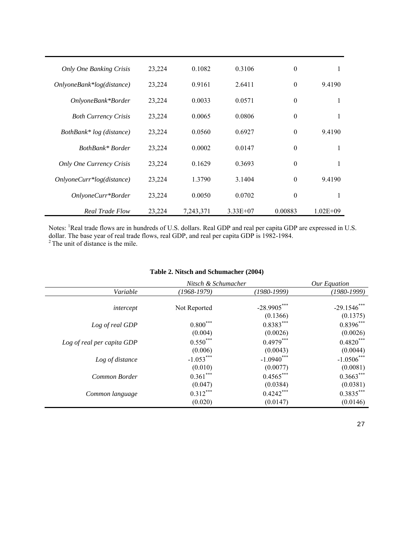| <b>Only One Banking Crisis</b>  | 23,224 | 0.1082    | 0.3106     | $\mathbf{0}$     | 1            |
|---------------------------------|--------|-----------|------------|------------------|--------------|
| $Only one Bank*log(distance)$   | 23,224 | 0.9161    | 2.6411     | $\boldsymbol{0}$ | 9.4190       |
| OnlyoneBank*Border              | 23,224 | 0.0033    | 0.0571     | $\mathbf{0}$     | 1            |
| <b>Both Currency Crisis</b>     | 23,224 | 0.0065    | 0.0806     | $\mathbf{0}$     | 1            |
| BothBank* log (distance)        | 23,224 | 0.0560    | 0.6927     | $\mathbf{0}$     | 9.4190       |
| BothBank* Border                | 23,224 | 0.0002    | 0.0147     | $\mathbf{0}$     | 1            |
| <b>Only One Currency Crisis</b> | 23,224 | 0.1629    | 0.3693     | $\theta$         | 1            |
| $Only one Curr * log(distance)$ | 23,224 | 1.3790    | 3.1404     | $\theta$         | 9.4190       |
| OnlyoneCurr*Border              | 23,224 | 0.0050    | 0.0702     | $\mathbf{0}$     | 1            |
| <b>Real Trade Flow</b>          | 23,224 | 7,243,371 | $3.33E+07$ | 0.00883          | $1.02E + 09$ |

Notes: <sup>1</sup>Real trade flows are in hundreds of U.S. dollars. Real GDP and real per capita GDP are expressed in U.S. dollar. The base year of real trade flows, real GDP, and real per capita GDP is 1982-1984.

 $2$ <sup>2</sup> The unit of distance is the mile.

|                            | Nitsch & Schumacher |                           | Our Equation               |
|----------------------------|---------------------|---------------------------|----------------------------|
| Variable                   | (1968-1979)         | (1980-1999)               | (1980-1999)                |
| intercept                  | Not Reported        | $-28.9905***$<br>(0.1366) | $-29.1546$ ***<br>(0.1375) |
| Log of real GDP            | $0.800^{***}$       | $0.8383***$               | $0.8396***$                |
|                            | (0.004)             | (0.0026)                  | (0.0026)                   |
| Log of real per capita GDP | $0.550***$          | $0.4979***$               | $0.4820***$                |
|                            | (0.006)             | (0.0043)                  | (0.0044)                   |
| Log of distance            | $-1.053***$         | $-1.0940$ ***             | $-1.0506$ ***              |
|                            | (0.010)             | (0.0077)                  | (0.0081)                   |
| Common Border              | $0.361***$          | $0.4565***$               | $0.3663***$                |
|                            | (0.047)             | (0.0384)                  | (0.0381)                   |
| Common language            | $0.312***$          | $0.4242***$               | $0.3835***$                |
|                            | (0.020)             | (0.0147)                  | (0.0146)                   |

#### **Table 2. Nitsch and Schumacher (2004)**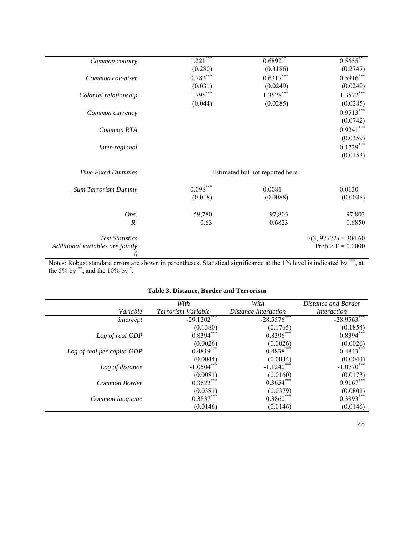| Common country                   | $1.221***$  | $0.6892**$                      | $0.5655***$            |
|----------------------------------|-------------|---------------------------------|------------------------|
|                                  | (0.280)     | (0.3186)                        | (0.2747)               |
| Common colonizer                 | $0.783***$  | $0.6317***$                     | $0.5916***$            |
|                                  | (0.031)     | (0.0249)                        | (0.0249)               |
| Colonial relationship            | $1.795***$  | $1.3528***$                     | $1.3572***$            |
|                                  | (0.044)     | (0.0285)                        | (0.0285)               |
| Common currency                  |             |                                 | $0.9513***$            |
|                                  |             |                                 | (0.0742)               |
| Common RTA                       |             |                                 | $0.9241***$            |
|                                  |             |                                 | (0.0359)               |
| Inter-regional                   |             |                                 | $0.1729***$            |
|                                  |             |                                 | (0.0153)               |
|                                  |             |                                 |                        |
| <b>Time Fixed Dummies</b>        |             | Estimated but not reported here |                        |
| <b>Sum Terrorism Dummy</b>       | $-0.098***$ | $-0.0081$                       | $-0.0130$              |
|                                  | (0.018)     | (0.0088)                        | (0.0088)               |
|                                  |             |                                 |                        |
| Obs.                             | 59,780      | 97,803                          | 97,803                 |
| $R^2$                            | 0.63        | 0.6823                          | 0.6850                 |
|                                  |             |                                 |                        |
| <b>Test Statistics</b>           |             |                                 | $F(3, 97772) = 304.60$ |
| Additional variables are jointly |             |                                 | $Prob > F = 0.0000$    |
| 0                                |             |                                 |                        |

Notes: Robust standard errors are shown in parentheses. Statistical significance at the 1% level is indicated by \*\*\*, at the 5% by  $\degree$ , and the 10% by  $\degree$ .

|                            | With               | With                 | Distance and Border       |
|----------------------------|--------------------|----------------------|---------------------------|
| Variable                   | Terrorism Variable | Distance Interaction | <i>Interaction</i>        |
| intercept                  | $-29.1202***$      | $-28.5576$ ***       | $-28.9563***$             |
|                            | (0.1380)           | (0.1765)             | $(0.1854)$<br>$0.8394***$ |
| Log of real GDP            | $0.8394***$        | $0.8396***$          |                           |
|                            | (0.0026)           | (0.0026)             | $(0.0026)$<br>0.4843***   |
| Log of real per capita GDP | $0.4819***$        | $0.4838***$          |                           |
|                            | (0.0044)           | (0.0044)             | $(0.0044)$<br>-1.0770***  |
| Log of distance            | $-1.0504***$       | $-1.1240***$         |                           |
|                            | (0.0081)           | (0.0160)             | (0.0173)                  |
| Common Border              | $0.3622***$        | $0.3654***$          | $0.9167***$               |
|                            | (0.0381)           | (0.0379)             | $(0.0801)$<br>$0.3893***$ |
| Common language            | $0.3837***$        | $0.3860***$          |                           |
|                            | (0.0146)           | (0.0146)             | (0.0146)                  |

# **Table 3. Distance, Border and Terrorism**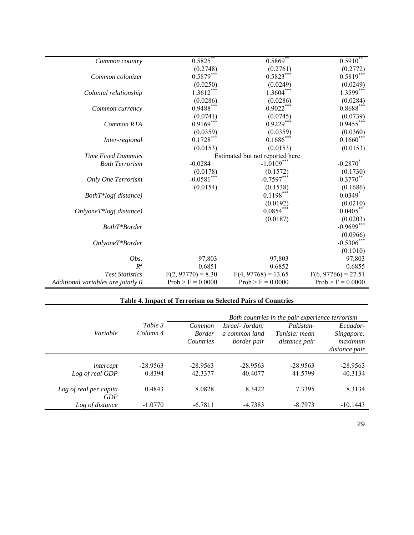| Common country                     | $0.5825$ **                     | 0.5869                | $0.5910^{**}$         |  |  |  |
|------------------------------------|---------------------------------|-----------------------|-----------------------|--|--|--|
|                                    | (0.2748)                        | (0.2761)              | (0.2772)              |  |  |  |
| Common colonizer                   | $0.5879***$                     | $0.5823***$           | $0.5819***$           |  |  |  |
|                                    | (0.0250)                        | (0.0249)              | (0.0249)              |  |  |  |
| Colonial relationship              | $1.3612***$                     | $1.3604***$           | $1.3599***$           |  |  |  |
|                                    | (0.0286)                        | (0.0286)              | (0.0284)              |  |  |  |
| Common currency                    | 0.9488***                       | $0.9022***$           | $0.8688***$           |  |  |  |
|                                    | (0.0741)                        | (0.0745)              | (0.0739)              |  |  |  |
| Common RTA                         | $0.9169***$                     | $0.9229***$           | $0.9455***$           |  |  |  |
|                                    | (0.0359)                        | (0.0359)              | (0.0360)              |  |  |  |
| Inter-regional                     | $0.1728***$                     | $0.1686***$           | $0.1660***$           |  |  |  |
|                                    | (0.0153)                        | (0.0153)              | (0.0153)              |  |  |  |
| <b>Time Fixed Dummies</b>          | Estimated but not reported here |                       |                       |  |  |  |
| <b>Both Terrorism</b>              | $-0.0284$                       | $-1.0109***$          | $-0.2870^*$           |  |  |  |
|                                    | (0.0178)                        | (0.1572)              | (0.1730)              |  |  |  |
| Only One Terrorism                 | $-0.0581***$                    | $-0.7597***$          | $-0.3770$ **          |  |  |  |
|                                    | (0.0154)                        | (0.1538)              | (0.1686)              |  |  |  |
| $Both T*log(distance)$             |                                 | $0.1198***$           | $0.0349*$             |  |  |  |
|                                    |                                 | (0.0192)              | (0.0210)              |  |  |  |
| $Only one T * log(distance)$       |                                 | $0.0854***$           | $0.0405***$           |  |  |  |
|                                    |                                 | (0.0187)              | (0.0203)              |  |  |  |
| BothT*Border                       |                                 |                       | $-0.9699***$          |  |  |  |
|                                    |                                 |                       | (0.0966)              |  |  |  |
| $Only one T*Border$                |                                 |                       | $-0.5306$ ***         |  |  |  |
|                                    |                                 |                       | (0.1010)              |  |  |  |
| Obs.                               | 97,803                          | 97,803                | 97,803                |  |  |  |
| $R^2$                              | 0.6851                          | 0.6852                | 0.6855                |  |  |  |
| <b>Test Statistics</b>             | $F(2, 97770) = 8.30$            | $F(4, 97768) = 13.65$ | $F(6, 97766) = 27.51$ |  |  |  |
| Additional variables are jointly 0 | $Prob > F = 0.0000$             | $Prob > F = 0.0000$   | $Prob > F = 0.0000$   |  |  |  |
|                                    |                                 |                       |                       |  |  |  |

# **Table 4. Impact of Terrorism on Selected Pairs of Countries**

|                               |                                | Both countries in the pair experience terrorism |                                                 |                                             |                                   |  |
|-------------------------------|--------------------------------|-------------------------------------------------|-------------------------------------------------|---------------------------------------------|-----------------------------------|--|
| Variable                      | Table 3<br>Column <sub>4</sub> | Common<br><b>Border</b><br>Countries            | Israel- Jordan:<br>a common land<br>border pair | Pakistan-<br>Tunisia: mean<br>distance pair | Ecuador-<br>Singapore:<br>maximum |  |
|                               |                                |                                                 |                                                 |                                             | distance pair                     |  |
| intercept<br>Log of real GDP  | $-28.9563$<br>0.8394           | $-28.9563$<br>42.3377                           | $-28.9563$<br>40.4077                           | $-28.9563$<br>41.5799                       | $-28.9563$<br>40.3134             |  |
| Log of real per capita<br>GDP | 0.4843                         | 8.0828                                          | 8.3422                                          | 7.3395                                      | 8.3134                            |  |
| Log of distance               | $-1.0770$                      | $-6.7811$                                       | $-4.7383$                                       | $-8.7973$                                   | $-10.1443$                        |  |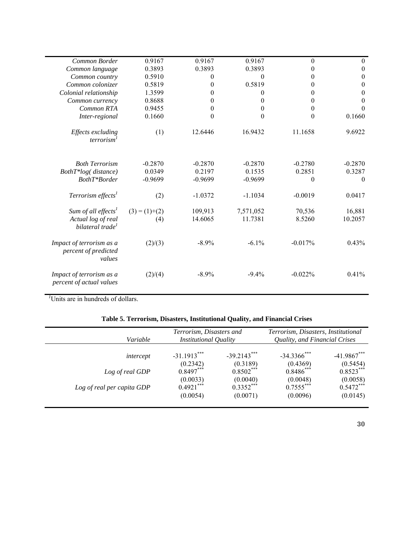| Common Border                                              | 0.9167          | 0.9167    | 0.9167    | $\theta$  | $\mathbf{0}$     |
|------------------------------------------------------------|-----------------|-----------|-----------|-----------|------------------|
| Common language                                            | 0.3893          | 0.3893    | 0.3893    | 0         | $\boldsymbol{0}$ |
| Common country                                             | 0.5910          | 0         | $\Omega$  | $\theta$  | $\theta$         |
| Common colonizer                                           | 0.5819          | 0         | 0.5819    | 0         | $\boldsymbol{0}$ |
| Colonial relationship                                      | 1.3599          | 0         | $\Omega$  | 0         | $\boldsymbol{0}$ |
| Common currency                                            | 0.8688          | 0         | 0         | 0         | $\boldsymbol{0}$ |
| Common RTA                                                 | 0.9455          | $\theta$  | $\theta$  | $\theta$  | $\Omega$         |
| Inter-regional                                             | 0.1660          | 0         | $\theta$  | $\theta$  | 0.1660           |
| Effects excluding<br>terrorism <sup>1</sup>                | (1)             | 12.6446   | 16.9432   | 11.1658   | 9.6922           |
| <b>Both Terrorism</b>                                      | $-0.2870$       | $-0.2870$ | $-0.2870$ | $-0.2780$ | $-0.2870$        |
| BothT*log(distance)                                        | 0.0349          | 0.2197    | 0.1535    | 0.2851    | 0.3287           |
| BothT*Border                                               | $-0.9699$       | $-0.9699$ | $-0.9699$ | $\theta$  | $\theta$         |
| Terrorism effects <sup>1</sup>                             | (2)             | $-1.0372$ | $-1.1034$ | $-0.0019$ | 0.0417           |
| Sum of all effects <sup>1</sup>                            | $(3) = (1)+(2)$ | 109,913   | 7,571,052 | 70,536    | 16,881           |
| Actual log of real<br>bilateral trade <sup>1</sup>         | (4)             | 14.6065   | 11.7381   | 8.5260    | 10.2057          |
| Impact of terrorism as a<br>percent of predicted<br>values | (2)/(3)         | $-8.9\%$  | $-6.1\%$  | $-0.017%$ | 0.43%            |
| Impact of terrorism as a<br>percent of actual values       | (2)/(4)         | $-8.9\%$  | $-9.4\%$  | $-0.022%$ | 0.41%            |

*1* Units are in hundreds of dollars.

| Table 5. Terrorism, Disasters, Institutional Quality, and Financial Crises |  |  |  |  |  |  |  |
|----------------------------------------------------------------------------|--|--|--|--|--|--|--|
|----------------------------------------------------------------------------|--|--|--|--|--|--|--|

| Terrorism, Disasters and<br><b>Institutional Quality</b> |                                                    | Terrorism, Disasters, Institutional |                                      | Quality, and Financial Crises |  |
|----------------------------------------------------------|----------------------------------------------------|-------------------------------------|--------------------------------------|-------------------------------|--|
| $-31.1913***$                                            | $-39.2143***$                                      | $-34.3366$ ***                      | $-41.9867***$                        |                               |  |
|                                                          |                                                    |                                     | (0.5454)<br>$0.8523***$              |                               |  |
| (0.0033)                                                 | (0.0040)                                           | (0.0048)                            | (0.0058)                             |                               |  |
|                                                          | $0.3352***$                                        | $0.7555***$                         | $0.5472***$<br>(0.0145)              |                               |  |
|                                                          | (0.2342)<br>$0.8497***$<br>$0.4921***$<br>(0.0054) | (0.3189)<br>$0.8502***$<br>(0.0071) | (0.4369)<br>$0.8486$ ***<br>(0.0096) |                               |  |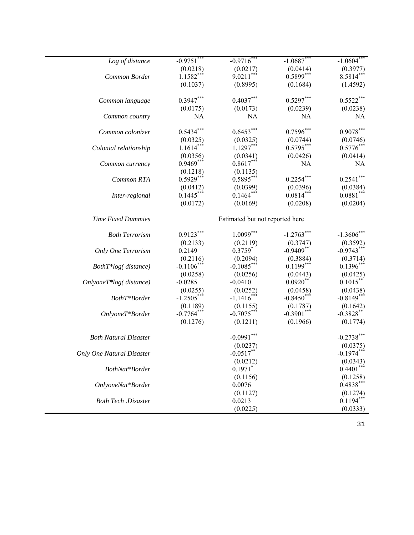| Log of distance              | $-0.9751***$ | $-0.9716$ **                    | $-1.0687$ *** | $-1.0604***$              |
|------------------------------|--------------|---------------------------------|---------------|---------------------------|
|                              | (0.0218)     | (0.0217)                        | (0.0414)      | (0.3977)                  |
| Common Border                | $1.1582***$  | $9.0211***$                     | $0.5899***$   | $8.5814***$               |
|                              | (0.1037)     | (0.8995)                        | (0.1684)      | (1.4592)                  |
|                              |              |                                 |               |                           |
| Common language              | $0.3947***$  | $0.4037***$                     | $0.5297***$   | $0.5522***$               |
|                              | (0.0175)     | (0.0173)                        | (0.0239)      | (0.0238)                  |
| Common country               | NA           | NA                              | NA            | NA                        |
| Common colonizer             | $0.5434***$  | $0.6453***$                     | $0.7596***$   | $0.9078***$               |
|                              | (0.0325)     | (0.0325)                        | (0.0744)      | (0.0746)                  |
| Colonial relationship        | $1.1614***$  | $1.1297***$                     | $0.5795***$   | $0.5776***$               |
|                              | (0.0356)     | (0.0341)                        | (0.0426)      | (0.0414)                  |
| Common currency              | $0.9469***$  | $0.8617***$                     | <b>NA</b>     | NA                        |
|                              | (0.1218)     | (0.1135)                        |               |                           |
| Common RTA                   | $0.5929***$  | $0.5895***$                     | $0.2254***$   | $0.2541***$               |
|                              | (0.0412)     | (0.0399)                        | (0.0396)      | (0.0384)                  |
| Inter-regional               | $0.1445***$  | $0.1464***$                     | $0.0814***$   | $0.0881***$               |
|                              | (0.0172)     | (0.0169)                        | (0.0208)      | (0.0204)                  |
| <b>Time Fixed Dummies</b>    |              | Estimated but not reported here |               |                           |
| <b>Both Terrorism</b>        | $0.9123***$  | $1.0099***$                     | $-1.2763$ **  | $-1.3606$ **              |
|                              | (0.2133)     | (0.2119)                        | (0.3747)      | (0.3592)                  |
| Only One Terrorism           | 0.2149       | $0.3759*$                       | $-0.9409**$   | $-0.9743***$              |
|                              | (0.2116)     | (0.2094)                        | (0.3884)      | (0.3714)                  |
| $Both T*log (distance)$      | $-0.1106*$   | $-0.1085***$                    | $0.1199***$   | $0.1396***$               |
|                              | (0.0258)     | (0.0256)                        | (0.0443)      | (0.0425)                  |
| $Only one T * log(distance)$ | $-0.0285$    | $-0.0410$                       | $0.0920$ **   | $0.1015***$               |
|                              | (0.0255)     | (0.0252)                        | (0.0458)      | (0.0438)                  |
| BothT*Border                 | $-1.2505***$ | $-1.1416***$                    | $-0.8450***$  | $-0.8149***$              |
|                              | (0.1189)     | (0.1155)                        | (0.1787)      | (0.1642)                  |
| OnlyoneT*Border              | $-0.7764***$ | $-0.7075***$                    | $-0.3901***$  | $-0.3828$ **              |
|                              | (0.1276)     | (0.1211)                        | (0.1966)      | (0.1774)                  |
| <b>Both Natural Disaster</b> |              | $-0.0991***$                    |               | $-0.2738***$              |
|                              |              | (0.0237)                        |               | (0.0375)                  |
| Only One Natural Disaster    |              | $-0.0517$ **                    |               | $-0.1974***$              |
|                              |              | (0.0212)                        |               | (0.0343)                  |
| BothNat*Border               |              | $0.1971$ *                      |               | $0.4401***$               |
|                              |              | (0.1156)                        |               | (0.1258)                  |
| OnlyoneNat*Border            |              | 0.0076                          |               | $0.4838***$               |
|                              |              | (0.1127)                        |               |                           |
| <b>Both Tech</b> .Disaster   |              | 0.0213                          |               | $(0.1274)$<br>$0.1194***$ |
|                              |              | (0.0225)                        |               | (0.0333)                  |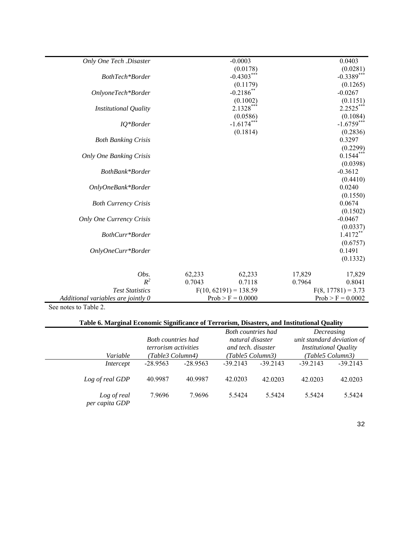| Only One Tech .Disaster            |                     | $-0.0003$               |                      | 0.0403              |
|------------------------------------|---------------------|-------------------------|----------------------|---------------------|
|                                    |                     | (0.0178)                |                      | (0.0281)            |
| BothTech*Border                    |                     | $-0.4303***$            |                      | $-0.3389***$        |
|                                    |                     | (0.1179)                |                      | (0.1265)            |
| OnlyoneTech*Border                 |                     | $-0.2186$ <sup>*</sup>  |                      | $-0.0267$           |
|                                    |                     | (0.1002)                |                      | (0.1151)            |
| <b>Institutional Quality</b>       |                     | $2.1328***$             |                      | $2.2525***$         |
|                                    |                     | (0.0586)                |                      | (0.1084)            |
| IQ*Border                          |                     | $-1.6174***$            |                      | $-1.6759***$        |
|                                    |                     | (0.1814)                |                      | (0.2836)            |
| <b>Both Banking Crisis</b>         |                     |                         |                      | 0.3297              |
|                                    |                     |                         |                      | (0.2299)            |
| <b>Only One Banking Crisis</b>     |                     |                         |                      | $0.1544***$         |
|                                    |                     |                         |                      | (0.0398)            |
| BothBank*Border                    |                     |                         |                      | $-0.3612$           |
|                                    |                     |                         |                      | (0.4410)            |
| OnlyOneBank*Border                 |                     |                         |                      | 0.0240              |
|                                    |                     |                         |                      | (0.1550)<br>0.0674  |
| <b>Both Currency Crisis</b>        |                     |                         |                      | (0.1502)            |
| Only One Currency Crisis           |                     |                         |                      | $-0.0467$           |
|                                    |                     |                         |                      | (0.0337)            |
| BothCurr*Border                    |                     |                         |                      | $1.4172**$          |
|                                    |                     |                         |                      | (0.6757)            |
| OnlyOneCurr*Border                 |                     |                         |                      | 0.1491              |
|                                    |                     |                         |                      | (0.1332)            |
|                                    |                     |                         |                      |                     |
| Obs.                               | 62,233              | 62,233                  | 17,829               | 17,829              |
| $R^2$                              | 0.7043              | 0.7118                  | 0.7964               | 0.8041              |
| <b>Test Statistics</b>             |                     | $F(10, 62191) = 138.59$ | $F(8, 17781) = 3.73$ |                     |
| Additional variables are jointly 0 | $Prob > F = 0.0000$ |                         |                      | $Prob > F = 0.0002$ |

See notes to Table 2.

# **Table 6. Marginal Economic Significance of Terrorism, Disasters, and Institutional Quality**

| Table 0. Marginal Economic Significance of Terrorism, Disasters, and Histitutional Quanty |                                                   |            |                                               |            |                                          |            |  |  |
|-------------------------------------------------------------------------------------------|---------------------------------------------------|------------|-----------------------------------------------|------------|------------------------------------------|------------|--|--|
|                                                                                           | <b>Both countries had</b>                         |            | <b>Both countries had</b><br>natural disaster |            | Decreasing<br>unit standard deviation of |            |  |  |
|                                                                                           | and tech. disaster<br><i>terrorism activities</i> |            | <b>Institutional Quality</b>                  |            |                                          |            |  |  |
| Variable                                                                                  | (Table3 Column4)                                  |            | (Table5 Column3)                              |            | (Table5 Column 3)                        |            |  |  |
| Intercept                                                                                 | $-28.9563$                                        | $-28.9563$ | $-39.2143$                                    | $-39.2143$ | $-39.2143$                               | $-39.2143$ |  |  |
| Log of real GDP                                                                           | 40.9987                                           | 40.9987    | 42.0203                                       | 42.0203    | 42.0203                                  | 42.0203    |  |  |
| Log of real<br>per capita GDP                                                             | 7.9696                                            | 7.9696     | 5.5424                                        | 5.5424     | 5.5424                                   | 5.5424     |  |  |